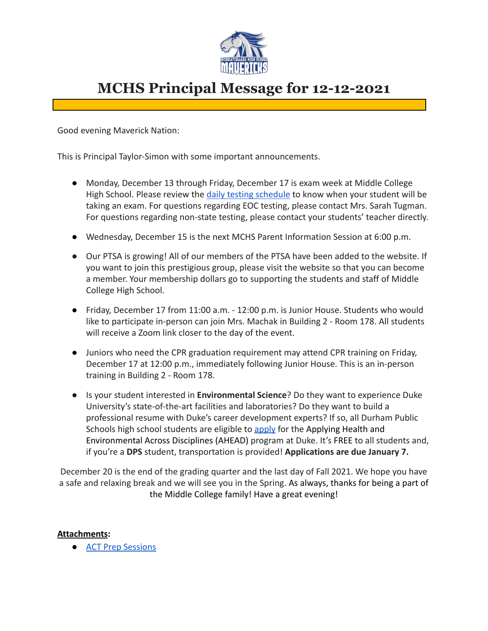

## **MCHS Principal Message for 12-12-2021**

Good evening Maverick Nation:

This is Principal Taylor-Simon with some important announcements.

- Monday, December 13 through Friday, December 17 is exam week at Middle College High School. Please review the [daily testing schedule](https://docs.google.com/document/d/1alAXAEn6TCEtuM7I5232H-jhWyKigZKASIe6sKWf5dk/edit?usp=sharing) to know when your student will be taking an exam. For questions regarding EOC testing, please contact Mrs. Sarah Tugman. For questions regarding non-state testing, please contact your students' teacher directly.
- Wednesday, December 15 is the next MCHS Parent Information Session at 6:00 p.m.
- Our PTSA is growing! All of our members of the PTSA have been added to the website. If you want to join this prestigious group, please visit the website so that you can become a member. Your membership dollars go to supporting the students and staff of Middle College High School.
- Friday, December 17 from 11:00 a.m. 12:00 p.m. is Junior House. Students who would like to participate in-person can join Mrs. Machak in Building 2 - Room 178. All students will receive a Zoom link closer to the day of the event.
- Juniors who need the CPR graduation requirement may attend CPR training on Friday, December 17 at 12:00 p.m., immediately following Junior House. This is an in-person training in Building 2 - Room 178.
- Is your student interested in **Environmental Science**? Do they want to experience Duke University's state-of-the-art facilities and laboratories? Do they want to build a professional resume with Duke's career development experts? If so, all Durham Public Schools high school students are eligible to [apply](https://urldefense.com/v3/__https://duke.qualtrics.com/jfe/form/SV_2uIcMwacoq2z9FY__;!!OToaGQ!5LuDnNiIzt9irnZUxgWZKqDUcRDtCYRIFnXsVwjWXcg_RhhqIe758lRD9NZ7-sz7eE1Myg$) for the Applying Health and Environmental Across Disciplines (AHEAD) program at Duke. It's FREE to all students and, if you're a **DPS** student, transportation is provided! **Applications are due January 7.**

December 20 is the end of the grading quarter and the last day of Fall 2021. We hope you have a safe and relaxing break and we will see you in the Spring. As always, thanks for being a part of the Middle College family! Have a great evening!

## **Attachments:**

**[ACT Prep Sessions](https://docs.google.com/document/d/1ojQzJkokVwLOMmmbK70R3r08byUcantP9z8D8pij168/edit?usp=sharing)**